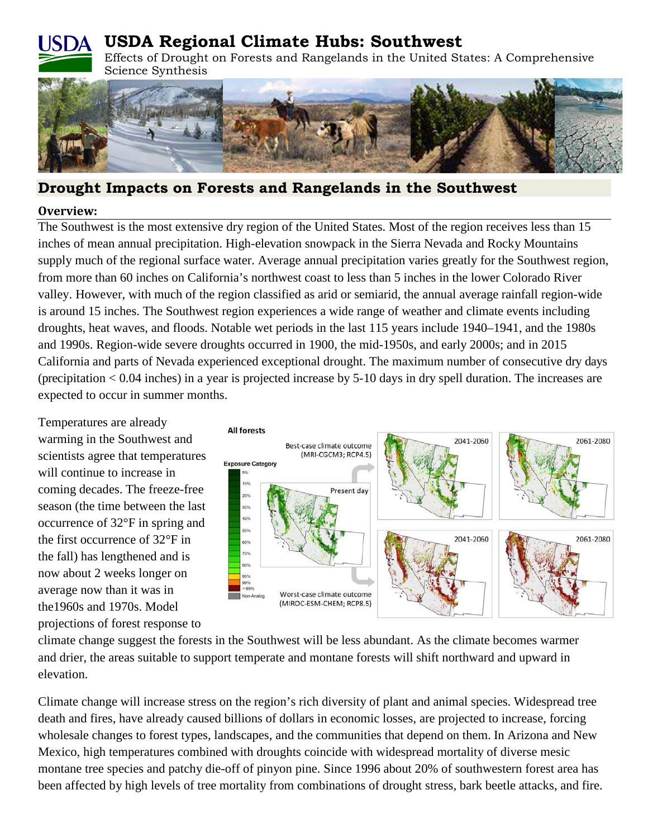# **USDA Regional Climate Hubs: Southwest**



Effects of Drought on Forests and Rangelands in the United States: A Comprehensive



# **Drought Impacts on Forests and Rangelands in the Southwest**

#### **Overview:**

The Southwest is the most extensive dry region of the United States. Most of the region receives less than 15 inches of mean annual precipitation. High-elevation snowpack in the Sierra Nevada and Rocky Mountains supply much of the regional surface water. Average annual precipitation varies greatly for the Southwest region, from more than 60 inches on California's northwest coast to less than 5 inches in the lower Colorado River valley. However, with much of the region classified as arid or semiarid, the annual average rainfall region-wide is around 15 inches. The Southwest region experiences a wide range of weather and climate events including droughts, heat waves, and floods. Notable wet periods in the last 115 years include 1940–1941, and the 1980s and 1990s. Region-wide severe droughts occurred in 1900, the mid-1950s, and early 2000s; and in 2015 California and parts of Nevada experienced exceptional drought. The maximum number of consecutive dry days (precipitation < 0.04 inches) in a year is projected increase by 5-10 days in dry spell duration. The increases are expected to occur in summer months.

Temperatures are already warming in the Southwest and scientists agree that temperatures will continue to increase in coming decades. The freeze-free season (the time between the last occurrence of 32°F in spring and the first occurrence of 32°F in the fall) has lengthened and is now about 2 weeks longer on average now than it was in the1960s and 1970s. Model projections of forest response to



climate change suggest the forests in the Southwest will be less abundant. As the climate becomes warmer and drier, the areas suitable to support temperate and montane forests will shift northward and upward in elevation.

Climate change will increase stress on the region's rich diversity of plant and animal species. Widespread tree death and fires, have already caused billions of dollars in economic losses, are projected to increase, forcing wholesale changes to forest types, landscapes, and the communities that depend on them. In Arizona and New Mexico, high temperatures combined with droughts coincide with widespread mortality of diverse mesic montane tree species and patchy die-off of pinyon pine. Since 1996 about 20% of southwestern forest area has been affected by high levels of tree mortality from combinations of drought stress, bark beetle attacks, and fire.